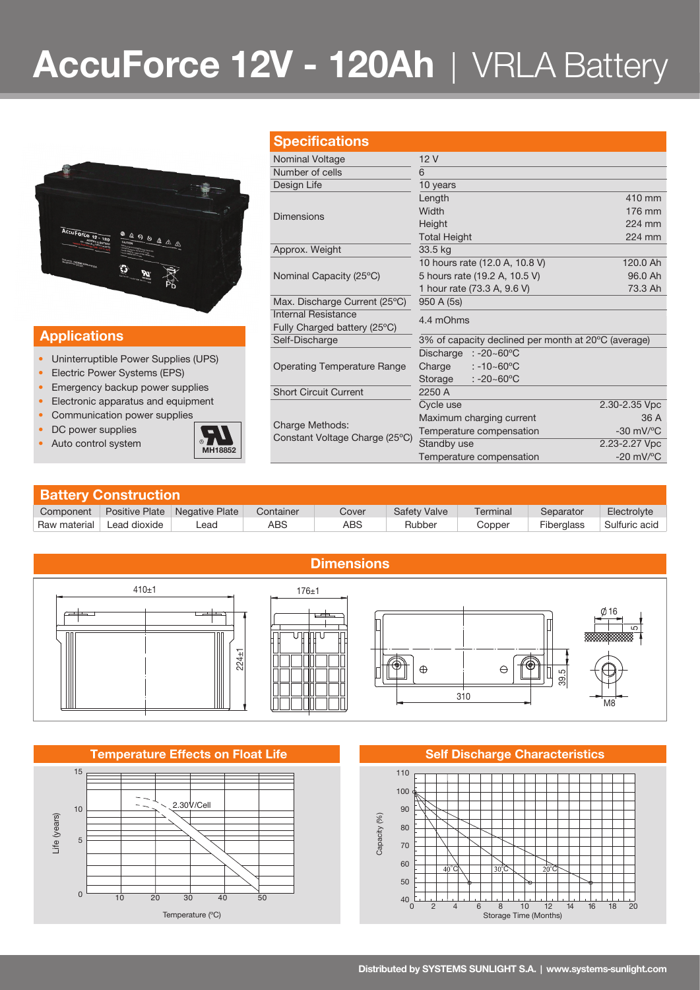# **AccuForce 12V - 120Ah** | VRLA Battery



### **Applications**

- Uninterruptible Power Supplies (UPS)
- Electric Power Systems (EPS)
- Emergency backup power supplies
- Electronic apparatus and equipment
- Communication power supplies
- DC power supplies
- Auto control system **MH18852**



| <b>Specifications</b>                                    |                                                     |                                |  |  |  |  |
|----------------------------------------------------------|-----------------------------------------------------|--------------------------------|--|--|--|--|
| Nominal Voltage                                          | 12V                                                 |                                |  |  |  |  |
| Number of cells                                          | 6                                                   |                                |  |  |  |  |
| Design Life                                              | 10 years                                            |                                |  |  |  |  |
| Dimensions                                               | Length                                              | 410 mm                         |  |  |  |  |
|                                                          | Width                                               | 176 mm                         |  |  |  |  |
|                                                          | Height                                              | 224 mm                         |  |  |  |  |
|                                                          | <b>Total Height</b>                                 | 224 mm                         |  |  |  |  |
| Approx. Weight                                           | 33.5 kg                                             |                                |  |  |  |  |
|                                                          | 10 hours rate (12.0 A, 10.8 V)                      | 120.0 Ah                       |  |  |  |  |
| Nominal Capacity (25°C)                                  | 5 hours rate (19.2 A, 10.5 V)                       | 96.0 Ah                        |  |  |  |  |
|                                                          | 1 hour rate (73.3 A, 9.6 V)                         | 73.3 Ah                        |  |  |  |  |
| Max. Discharge Current (25°C)                            | 950 A (5s)                                          |                                |  |  |  |  |
| Internal Resistance                                      | 4.4 mOhms                                           |                                |  |  |  |  |
| Fully Charged battery (25°C)                             |                                                     |                                |  |  |  |  |
| Self-Discharge                                           | 3% of capacity declined per month at 20°C (average) |                                |  |  |  |  |
|                                                          | Discharge<br>$: -20 - 60^{\circ}$ C                 |                                |  |  |  |  |
| <b>Operating Temperature Range</b>                       | Charge<br>$: -10 - 60^{\circ}$ C                    |                                |  |  |  |  |
|                                                          | $: -20 - 60^{\circ}$ C<br>Storage                   |                                |  |  |  |  |
| <b>Short Circuit Current</b>                             | 2250 A                                              |                                |  |  |  |  |
| <b>Charge Methods:</b><br>Constant Voltage Charge (25°C) | Cycle use                                           | 2.30-2.35 Vpc                  |  |  |  |  |
|                                                          | Maximum charging current                            | 36 A                           |  |  |  |  |
|                                                          | Temperature compensation                            | $-30$ mV/ $^{\circ}$ C         |  |  |  |  |
|                                                          | Standby use                                         | 2.23-2.27 Vpc                  |  |  |  |  |
|                                                          | Temperature compensation                            | $-20$ mV/ $\mathrm{^{\circ}C}$ |  |  |  |  |

| <b>Battery Construction</b> |                |                |           |       |                     |          |            |               |  |  |
|-----------------------------|----------------|----------------|-----------|-------|---------------------|----------|------------|---------------|--|--|
| Component                   | Positive Plate | Negative Plate | Container | Cover | <b>Safety Valve</b> | Terminal | Separator  | Electrolyte   |  |  |
| Raw material                | Lead dioxide   | _ead           | ABS       | ABS   | Rubber              | Copper   | Fiberglass | Sulfuric acid |  |  |



### **Temperature Effects on Float Life Self Discharge Characteristics**